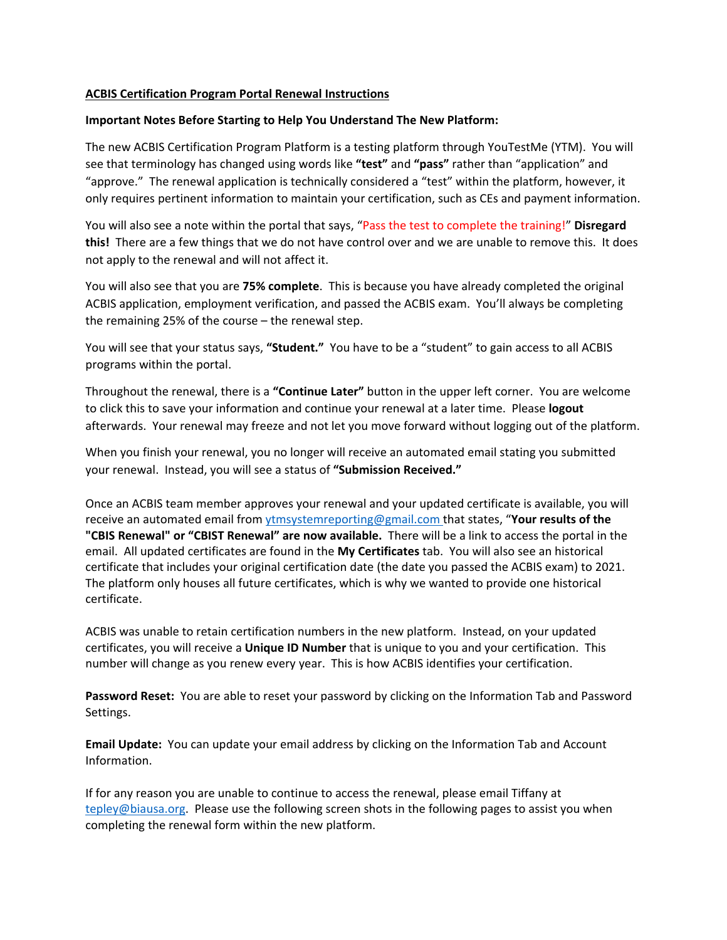#### **ACBIS Certification Program Portal Renewal Instructions**

#### **Important Notes Before Starting to Help You Understand The New Platform:**

The new ACBIS Certification Program Platform is a testing platform through YouTestMe (YTM). You will see that terminology has changed using words like **"test"** and **"pass"** rather than "application" and "approve." The renewal application is technically considered a "test" within the platform, however, it only requires pertinent information to maintain your certification, such as CEs and payment information.

You will also see a note within the portal that says, "Pass the test to complete the training!" **Disregard this!** There are a few things that we do not have control over and we are unable to remove this. It does not apply to the renewal and will not affect it.

You will also see that you are **75% complete**. This is because you have already completed the original ACBIS application, employment verification, and passed the ACBIS exam. You'll always be completing the remaining 25% of the course – the renewal step.

You will see that your status says, **"Student."** You have to be a "student" to gain access to all ACBIS programs within the portal.

Throughout the renewal, there is a **"Continue Later"** button in the upper left corner. You are welcome to click this to save your information and continue your renewal at a later time. Please **logout** afterwards. Your renewal may freeze and not let you move forward without logging out of the platform.

When you finish your renewal, you no longer will receive an automated email stating you submitted your renewal. Instead, you will see a status of **"Submission Received."** 

Once an ACBIS team member approves your renewal and your updated certificate is available, you will receive an automated email from ytmsystemreporting@gmail.com that states, "**Your results of the "CBIS Renewal" or "CBIST Renewal" are now available.**  There will be a link to access the portal in the email. All updated certificates are found in the **My Certificates** tab. You will also see an historical certificate that includes your original certification date (the date you passed the ACBIS exam) to 2021. The platform only houses all future certificates, which is why we wanted to provide one historical certificate.

ACBIS was unable to retain certification numbers in the new platform. Instead, on your updated certificates, you will receive a **Unique ID Number** that is unique to you and your certification. This number will change as you renew every year. This is how ACBIS identifies your certification.

**Password Reset:** You are able to reset your password by clicking on the Information Tab and Password Settings.

**Email Update:** You can update your email address by clicking on the Information Tab and Account Information.

If for any reason you are unable to continue to access the renewal, please email Tiffany at tepley@biausa.org. Please use the following screen shots in the following pages to assist you when completing the renewal form within the new platform.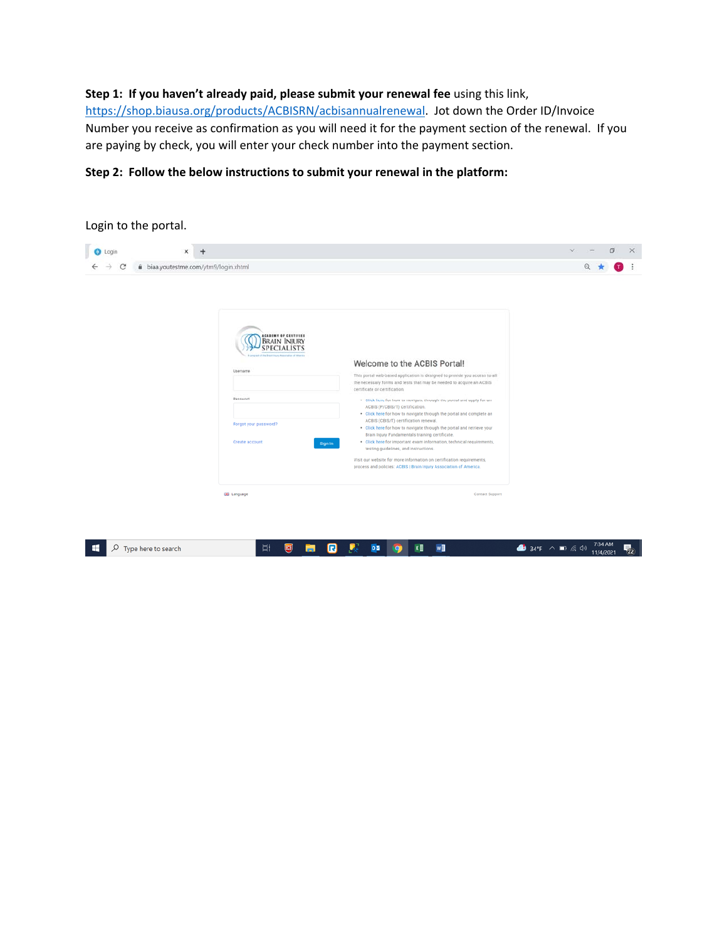#### **Step 1: If you haven't already paid, please submit your renewal fee** using this link,

https://shop.biausa.org/products/ACBISRN/acbisannualrenewal. Jot down the Order ID/Invoice Number you receive as confirmation as you will need it for the payment section of the renewal. If you are paying by check, you will enter your check number into the payment section.

#### **Step 2: Follow the below instructions to submit your renewal in the platform:**

| ×<br>۰                                                                                                                                                                                                                |                                                                                                                                                                                                                                                                                                                                                                                                                                                                                                                                                                                                                                                                                                                                                                                                                                                                          | $\mathcal{L}$<br>σ<br>X |
|-----------------------------------------------------------------------------------------------------------------------------------------------------------------------------------------------------------------------|--------------------------------------------------------------------------------------------------------------------------------------------------------------------------------------------------------------------------------------------------------------------------------------------------------------------------------------------------------------------------------------------------------------------------------------------------------------------------------------------------------------------------------------------------------------------------------------------------------------------------------------------------------------------------------------------------------------------------------------------------------------------------------------------------------------------------------------------------------------------------|-------------------------|
| biaa.youtestme.com/ytm9/login.xhtml                                                                                                                                                                                   |                                                                                                                                                                                                                                                                                                                                                                                                                                                                                                                                                                                                                                                                                                                                                                                                                                                                          |                         |
| <b>ACABEMY OF CERTIFIED</b><br><b>BRAIN INJURY</b><br><b>SPECIALISTS</b><br>region of the Brant Harry Association of Adamse<br>Username<br>Password<br>Forgot your password?<br>Create account<br><b>EIB</b> Language | Welcome to the ACBIS Portal!<br>This portal web-based application is designed to provide you access to all<br>the necessary forms and tests that may be needed to acquire an ACBIS<br>certificate or certification.<br>. Click here for how to navigate through the portal and apply for an<br>ACBIS (P/CBIS/T) certification.<br>. Click here for how to navigate through the portal and complete an<br>ACBIS (CBIS/T) certification renewal.<br>. Click here for how to navigate through the portal and retrieve your<br>Brain Injury Fundamentals training certificate.<br>. Click here for important exam information, technical requirements,<br>Sign In<br>testing guidelines, and instructions.<br>Visit our website for more information on certification requirements,<br>process and policies: ACBIS   Brain Injury Association of America.<br>Contact Support |                         |
|                                                                                                                                                                                                                       |                                                                                                                                                                                                                                                                                                                                                                                                                                                                                                                                                                                                                                                                                                                                                                                                                                                                          |                         |
|                                                                                                                                                                                                                       |                                                                                                                                                                                                                                                                                                                                                                                                                                                                                                                                                                                                                                                                                                                                                                                                                                                                          |                         |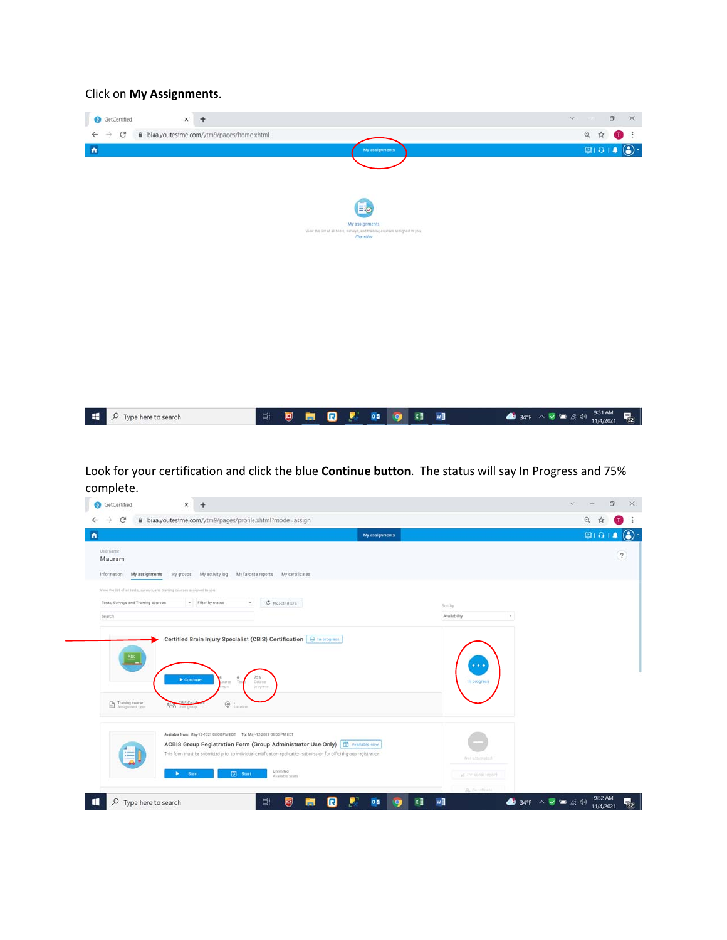#### Click on **My Assignments**.



Look for your certification and click the blue **Continue button**. The status will say In Progress and 75% complete.

| $\bullet$                                           |                                                                                                  |                                                                                                                                                                                                         | My assignments |                                        | 010 |
|-----------------------------------------------------|--------------------------------------------------------------------------------------------------|---------------------------------------------------------------------------------------------------------------------------------------------------------------------------------------------------------|----------------|----------------------------------------|-----|
| Username<br>Mauram<br>Information<br>My assignments | My groups                                                                                        | My activity log My favorite reports My certificates                                                                                                                                                     |                |                                        |     |
| Tests, Surveys and Training courses                 | View the list of all tests, surveys, and training courses assigned to you.<br>· Filter by status | C Reset filters<br>$\sim$                                                                                                                                                                               |                |                                        |     |
| Search                                              |                                                                                                  |                                                                                                                                                                                                         |                | Sort by:<br>Availability<br>$\sim$     |     |
|                                                     |                                                                                                  |                                                                                                                                                                                                         |                |                                        |     |
|                                                     |                                                                                                  |                                                                                                                                                                                                         |                |                                        |     |
|                                                     | ID Continue<br><b>Salt Bid</b><br><b>TOT</b>                                                     | Certified Brain Injury Specialist (CBIS) Certification   + In progress<br>75%<br>Course<br>progress.                                                                                                    |                | $\bullet\bullet\bullet$<br>In progress |     |
| Training course                                     | $^\copyright$<br><b>GLAS</b> Over thrott                                                         | Location                                                                                                                                                                                                |                |                                        |     |
| 巪                                                   | Available from: May-12-2021 08:00 PM EDT To: May-12-2031 08:00 PM EDT                            | ACBIS Group Registration Form (Group Administrator Use Only) [ 7 Available now<br>This form must be submitted prior to individual certification application submission for official group registration. |                | Not attempted.                         |     |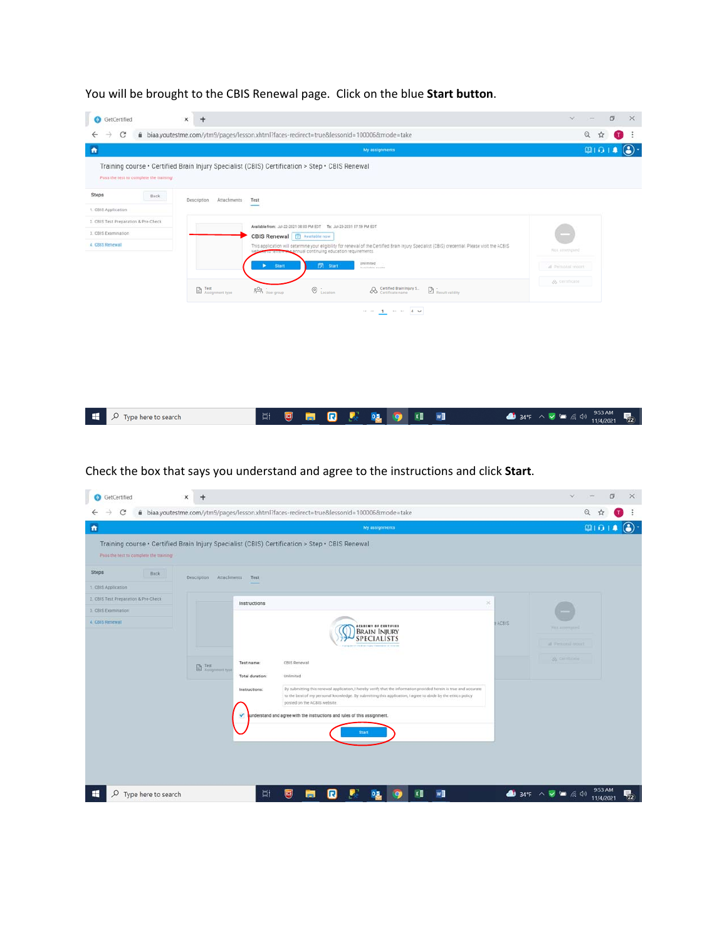| C                                       |      |                             | biaa.youtestme.com/ytm9/pages/lesson.xhtml?faces-redirect=true&lessonId=100006&mode=take                                                                                                     | Q<br>☆             |
|-----------------------------------------|------|-----------------------------|----------------------------------------------------------------------------------------------------------------------------------------------------------------------------------------------|--------------------|
|                                         |      |                             | My assignments                                                                                                                                                                               | $\circ$<br>01011   |
| Pass the test to complete the training! |      |                             | Training course · Certified Brain Injury Specialist (CBIS) Certification > Step · CBIS Renewal                                                                                               |                    |
| <b>Steps</b>                            | Back | Attachments:<br>Description | Test                                                                                                                                                                                         |                    |
| 1. CBIS Application                     |      |                             |                                                                                                                                                                                              |                    |
| 2. CBIS Test Preparation & Pre-Check    |      |                             | Available from: Jul-22-2021 08:00 PM EDT To: Jul-23-2031 07:59 PM EDT                                                                                                                        |                    |
| 3. CBIS Examination                     |      |                             | CBIS Renewal <b>图 Available now</b>                                                                                                                                                          |                    |
| 4 CBIS Rependi                          |      |                             | This application will determine your eligibility for renewal of the Certified Brain Injury Specialist (CBIS) credential. Please visit the ACBIS<br>annual continuing education requirements. | Figst attempted    |
|                                         |      |                             | Unionited<br><b>菌</b> start<br><b>Start</b><br>٠<br>Available seats                                                                                                                          | al Personal report |
|                                         |      |                             |                                                                                                                                                                                              | & Certificate      |
|                                         |      | Fest<br>Assignment type     | Certified Brain Injury S.<br>and User group<br>$\odot$ i.ecation<br>Result validity                                                                                                          |                    |
|                                         |      |                             | $\approx$ $\approx$ – 1 $\rightarrow$ $\approx$ $\approx$ – 4 $\times$                                                                                                                       |                    |
|                                         |      |                             |                                                                                                                                                                                              |                    |
|                                         |      |                             |                                                                                                                                                                                              |                    |
|                                         |      |                             |                                                                                                                                                                                              |                    |
|                                         |      |                             |                                                                                                                                                                                              |                    |
|                                         |      |                             |                                                                                                                                                                                              |                    |
|                                         |      |                             |                                                                                                                                                                                              |                    |

You will be brought to the CBIS Renewal page. Click on the blue **Start button**.

Check the box that says you understand and agree to the instructions and click **Start**.

| GetCertified                            | ×<br>$+$                                                                                                                                                                                                                                          | σ<br>$\mathcal{L}$<br>$\times$                                                       |
|-----------------------------------------|---------------------------------------------------------------------------------------------------------------------------------------------------------------------------------------------------------------------------------------------------|--------------------------------------------------------------------------------------|
| C                                       | biaa.youtestme.com/ytm9/pages/lesson.xhtml?faces-redirect=true&lessonId=100006&mode=take                                                                                                                                                          | Q                                                                                    |
| $\bullet$                               | My assignments                                                                                                                                                                                                                                    | $\circled{c}$<br>0101                                                                |
| Pass the test to complete the training! | Training course · Certified Brain Injury Specialist (CBIS) Certification > Step · CBIS Renewal                                                                                                                                                    |                                                                                      |
| <b>Steps</b><br>Back.                   | Description<br>Attachments<br>Test                                                                                                                                                                                                                |                                                                                      |
| 1 CBIS Application                      |                                                                                                                                                                                                                                                   |                                                                                      |
| 2. CBIS Test Preparation & Pre-Check    | ×<br>Instructions                                                                                                                                                                                                                                 |                                                                                      |
| 3 CBIS Examination                      |                                                                                                                                                                                                                                                   |                                                                                      |
| 4 CBIS Renewal                          | ACBIS<br><b>ACADEMY OF CERTIFIED</b><br>BRAIN INJURY<br>SPECIALISTS                                                                                                                                                                               | FIRE ADVISORED                                                                       |
|                                         | <b>Langan af the Bran Hary Resolution of America</b>                                                                                                                                                                                              | al. Personal report.                                                                 |
|                                         |                                                                                                                                                                                                                                                   | <b>St. Celtificate</b>                                                               |
|                                         | CBIS Renewal<br>Test name:<br><b>B</b> Test:<br>Total duration:<br>Unlimited                                                                                                                                                                      |                                                                                      |
|                                         | By submitting this renewal application, I hereby verify that the information provided herein is true and accurate<br>Instructions:<br>to the best of my personal knowledge. By submitting this application, I agree to abide by the ethics policy |                                                                                      |
|                                         | posted on the ACBIS website.                                                                                                                                                                                                                      |                                                                                      |
|                                         | lunderstand and agree with the instructions and rules of this assignment.<br>$\mathbf{v}$                                                                                                                                                         |                                                                                      |
|                                         | <b>Start</b>                                                                                                                                                                                                                                      |                                                                                      |
|                                         |                                                                                                                                                                                                                                                   |                                                                                      |
|                                         |                                                                                                                                                                                                                                                   |                                                                                      |
|                                         |                                                                                                                                                                                                                                                   |                                                                                      |
|                                         |                                                                                                                                                                                                                                                   |                                                                                      |
| Q<br>Type here to search                | w<br>Ξi<br>u<br>×目<br>U<br>$\boldsymbol{\mathsf{G}}$<br>0.5<br>$\bullet$<br>m.                                                                                                                                                                    | 9:53 AM<br>$\bullet$ 34°F $\land$ $\bullet$ $\bullet$ $\approx$ 40<br>見<br>11/4/2021 |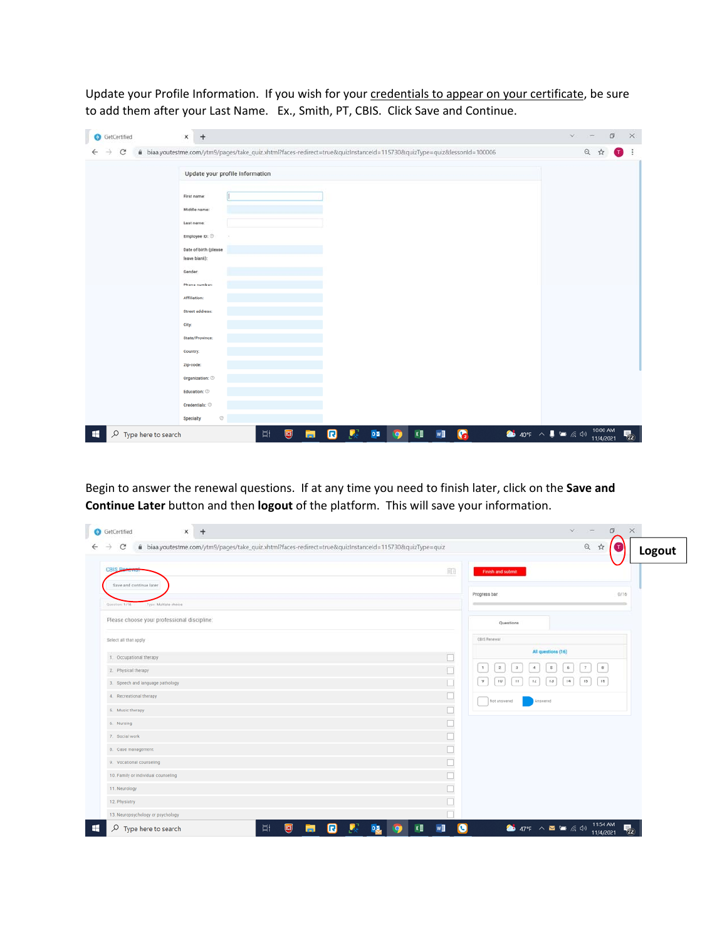Update your Profile Information. If you wish for your credentials to appear on your certificate, be sure to add them after your Last Name. Ex., Smith, PT, CBIS. Click Save and Continue.

| <b>B</b> GetCertified    | $+$<br>$\mathsf{x}$                                                                                                   | $\checkmark$ |                       | σ<br>× |
|--------------------------|-----------------------------------------------------------------------------------------------------------------------|--------------|-----------------------|--------|
| С                        | biaa.youtestme.com/ytm9/pages/take_quiz.xhtml?faces-redirect=true&quizInstanceId=115730&quizType=quiz&lessonId=100006 |              | $\mathbb{Q}$<br>☆     |        |
|                          | Update your profile information                                                                                       |              |                       |        |
|                          | First name:<br>Middle name:                                                                                           |              |                       |        |
|                          | Last name:                                                                                                            |              |                       |        |
|                          | Employee ID:<br>Date of birth (please<br>leave blank):                                                                |              |                       |        |
|                          | Gender:<br>Phone number:                                                                                              |              |                       |        |
|                          | Affiliation:                                                                                                          |              |                       |        |
|                          | Street address:<br>City:                                                                                              |              |                       |        |
|                          | State/Province:<br>Country:                                                                                           |              |                       |        |
|                          | Zip-code:<br>Organization: $\oslash$                                                                                  |              |                       |        |
|                          | Education: $\oslash$<br>Credentials: 8                                                                                |              |                       |        |
|                          | $_{\odot}$<br>Specialty                                                                                               |              |                       |        |
| Q<br>Type here to search | ● 40°F へ ■ ● 原 (1)<br>ø<br>屢<br>$x \equiv$<br>$0\overline{a}$<br>W<br>$\bullet$<br>Ξi<br>U<br>$\bullet$<br>ы          |              | 10:00 AM<br>11/4/2021 | 見2     |

Begin to answer the renewal questions. If at any time you need to finish later, click on the **Save and Continue Later** button and then **logout** of the platform. This will save your information.

| biaa.youtestme.com/ytm9/pages/take_quiz.xhtml?faces-redirect=true&quizInstanceId=115730&quizType=quiz<br>C<br>$\rightarrow$ |        |                                                                                                       | Q<br>$\vec{M}$<br>Logout |
|-----------------------------------------------------------------------------------------------------------------------------|--------|-------------------------------------------------------------------------------------------------------|--------------------------|
| <b>CBIS Po</b><br>Save and continue later<br>Type: Multiple choice<br>Question, 1/16                                        | 印      | Finish and submit<br>Progress bar                                                                     | 0/16                     |
| Please choose your professional discipline:                                                                                 |        | Questions                                                                                             |                          |
| Select all that apply                                                                                                       |        | CBIS Renewal                                                                                          |                          |
| 1. Occupational therapy                                                                                                     | $\Box$ | All questions (16)                                                                                    |                          |
| 2. Physical therapy                                                                                                         | $\Box$ | $\mathbf{I}$<br>$5^\circ$<br>6<br>$\overline{7}$<br>$\mathbf{2}$<br>$\ensuremath{\mathfrak{I}}$<br>4. | $_{\rm B}$               |
| 3. Speech and language pathology                                                                                            | $\Box$ | $12$<br>$13$<br>14<br>9<br>$10$<br>15<br>11                                                           | 16                       |
| 4. Recreational therapy                                                                                                     |        |                                                                                                       |                          |
| 5. Music therapy                                                                                                            | $\Box$ | Not answered<br>Answered                                                                              |                          |
| 6. Nursing                                                                                                                  | $\Box$ |                                                                                                       |                          |
| 7. Social work                                                                                                              | $\Box$ |                                                                                                       |                          |
| 8. Case management                                                                                                          |        |                                                                                                       |                          |
| 9. Vocational counseling                                                                                                    |        |                                                                                                       |                          |
| 10. Family or individual counseling                                                                                         |        |                                                                                                       |                          |
| 11. Neurology                                                                                                               |        |                                                                                                       |                          |
| 12. Physiatry                                                                                                               |        |                                                                                                       |                          |
| 13. Neuropsychology or psychology                                                                                           |        |                                                                                                       |                          |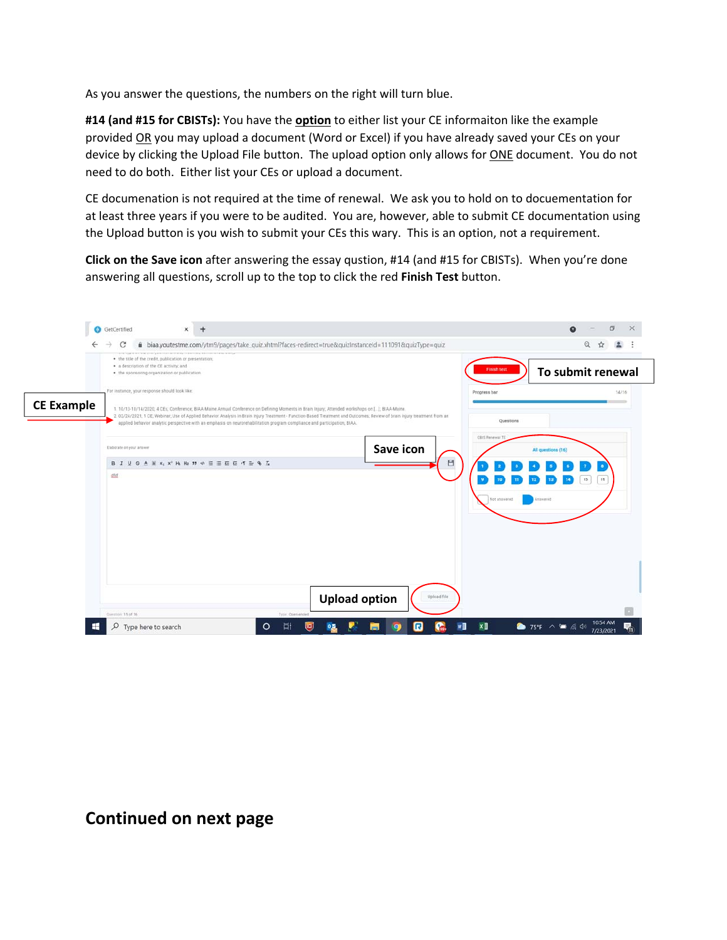As you answer the questions, the numbers on the right will turn blue.

**#14 (and #15 for CBISTs):** You have the **option** to either list your CE informaiton like the example provided OR you may upload a document (Word or Excel) if you have already saved your CEs on your device by clicking the Upload File button. The upload option only allows for **ONE** document. You do not need to do both. Either list your CEs or upload a document.

CE documenation is not required at the time of renewal. We ask you to hold on to docuementation for at least three years if you were to be audited. You are, however, able to submit CE documentation using the Upload button is you wish to submit your CEs this wary. This is an option, not a requirement.

**Click on the Save icon** after answering the essay qustion, #14 (and #15 for CBISTs). When you're done answering all questions, scroll up to the top to click the red **Finish Test** button.



## **Continued on next page**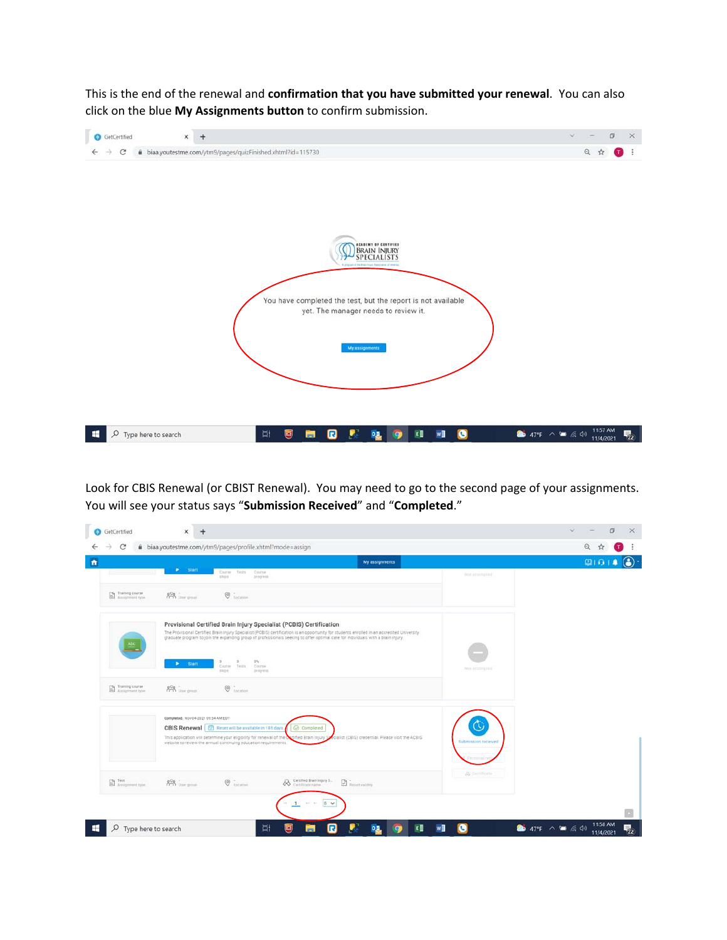This is the end of the renewal and **confirmation that you have submitted your renewal**. You can also click on the blue **My Assignments button** to confirm submission.



Look for CBIS Renewal (or CBIST Renewal). You may need to go to the second page of your assignments. You will see your status says "**Submission Received**" and "**Completed**."

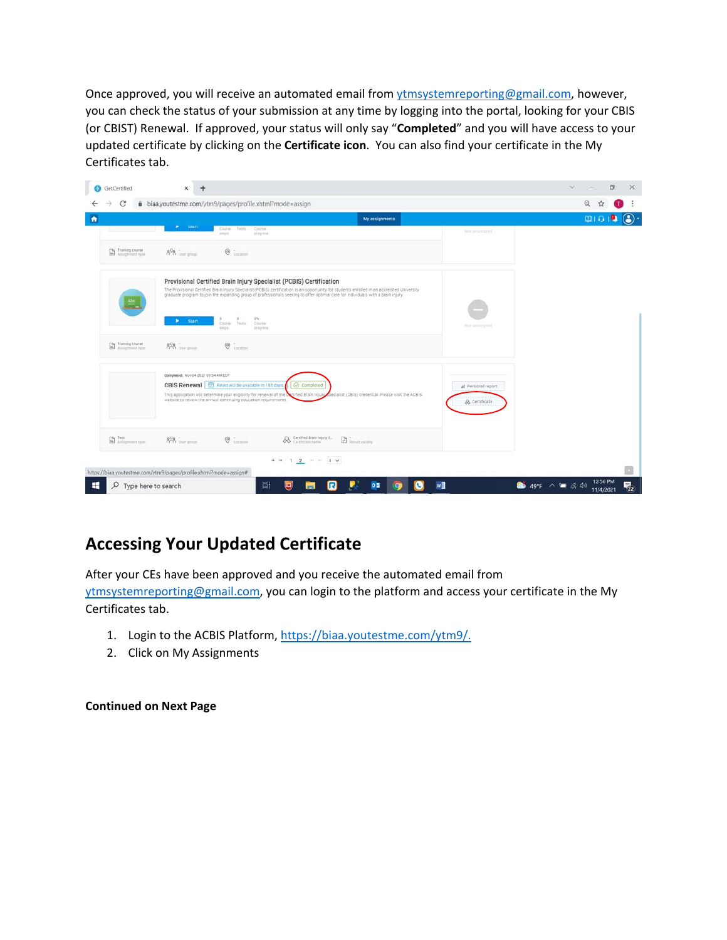Once approved, you will receive an automated email from vtmsystemreporting@gmail.com, however, you can check the status of your submission at any time by logging into the portal, looking for your CBIS (or CBIST) Renewal. If approved, your status will only say "**Completed**" and you will have access to your updated certificate by clicking on the **Certificate icon**. You can also find your certificate in the My Certificates tab.

| <b>B</b> GetCertified     | ×<br>$\ddot{}$                                                                                                                                                                                                                                                                                                                                                                     |                                    | ö                                                     |
|---------------------------|------------------------------------------------------------------------------------------------------------------------------------------------------------------------------------------------------------------------------------------------------------------------------------------------------------------------------------------------------------------------------------|------------------------------------|-------------------------------------------------------|
| С                         | à biaa.youtestme.com/ytm9/pages/profile.xhtml?mode=assign                                                                                                                                                                                                                                                                                                                          |                                    | Q                                                     |
|                           | My assignments                                                                                                                                                                                                                                                                                                                                                                     |                                    | 010                                                   |
|                           | $\blacktriangleright$ Start<br>Tests<br>Coutse<br>Course<br>steps<br>progress                                                                                                                                                                                                                                                                                                      | Not.attempted                      |                                                       |
| Training course           | $\odot$ iscanne<br>$8\%$ User group                                                                                                                                                                                                                                                                                                                                                |                                    |                                                       |
|                           | Provisional Certified Brain Injury Specialist (PCBIS) Certification<br>The Provisional Certified Brain Injury Specialist (PCBIS) certification is an opportunity for students enrolled in an accredited University<br>graduate program to join the expanding group of professionals seeking to offer optimal care for individuals with a brain injury.<br>os.<br><b>Start</b><br>٠ |                                    |                                                       |
| Training course           | Course<br>Testa<br>Course<br><b>HEOR</b><br>progress.<br>$\odot$ iscapper<br>$\frac{900}{1000}$ User group                                                                                                                                                                                                                                                                         | Not attempted.                     |                                                       |
|                           | Completed: Nov 04-2021 09:54 AM EDT<br>CBIS Renewal   @ Reset will be available in 181 days.<br>Completed<br>This application will determine your eligibility for renewal of the Octified Brain injury<br>becialist (CBIS) credential. Please visit the ACBIS<br>website to review the annual continuing education requirements.                                                   | d Personal report<br>& Certificate |                                                       |
| <b>ED</b> Assignment type | <b>A</b> Certified Brain Injury S.<br>$\circ$<br>$\n  Q\n  in matrix$<br>$\frac{90}{100}$ increase                                                                                                                                                                                                                                                                                 |                                    |                                                       |
|                           | $14.44$ $1.2$ $1.2$ $1.4$<br>https://biaa.youtestme.com/ytm9/pages/profile.xhtml?mode=assign#                                                                                                                                                                                                                                                                                      |                                    |                                                       |
| Q                         | Ξi<br>国<br>0.5<br>R<br>Type here to search<br>$\bullet$                                                                                                                                                                                                                                                                                                                            | w                                  | 12:56 PM<br>$49^{\circ}F \wedge T = 640$<br>11/4/2021 |

# **Accessing Your Updated Certificate**

After your CEs have been approved and you receive the automated email from ytmsystemreporting@gmail.com, you can login to the platform and access your certificate in the My Certificates tab.

- 1. Login to the ACBIS Platform, https://biaa.youtestme.com/ytm9/.
- 2. Click on My Assignments

**Continued on Next Page**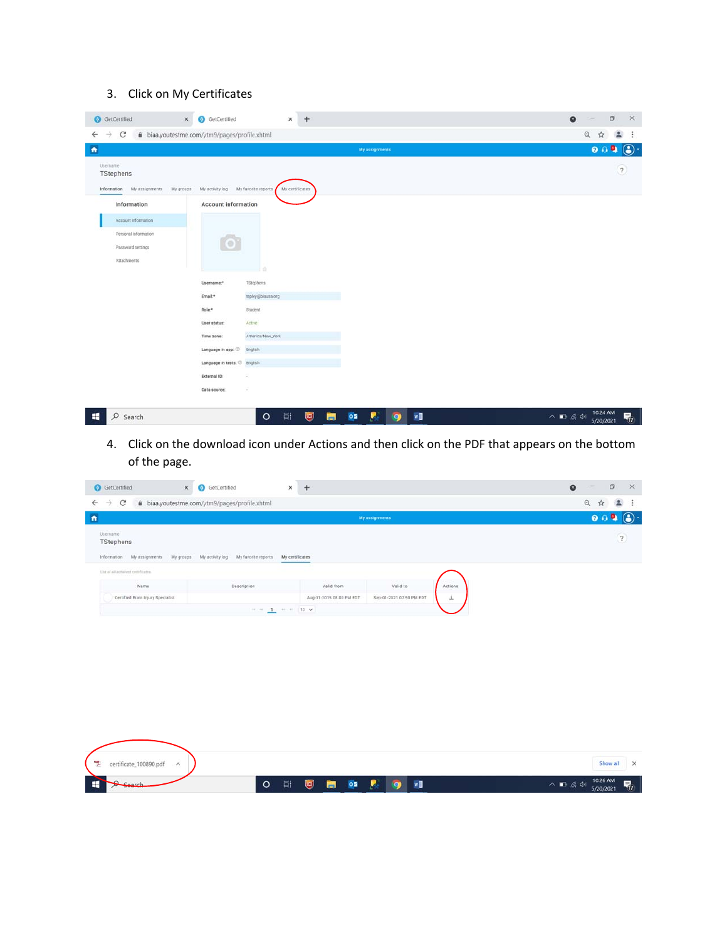### 3. Click on My Certificates

| $\leftarrow$                         | iii biaa.youtestme.com/ytm9/pages/profile.xhtml |                   |                | $\mathbb{Q}$<br>☆<br>$\Delta$ |
|--------------------------------------|-------------------------------------------------|-------------------|----------------|-------------------------------|
| $\mathcal{C}$<br>$\rightarrow$       |                                                 |                   | My assignments | $0.09$ .                      |
|                                      |                                                 |                   |                |                               |
| Usemame                              |                                                 |                   |                | $\overline{?}$                |
| TStephens                            |                                                 |                   |                |                               |
| Information My assignments My groups | My activity log My favorite reports             | My certificates   |                |                               |
| Information                          | Account information                             |                   |                |                               |
| Account information                  |                                                 |                   |                |                               |
|                                      |                                                 |                   |                |                               |
| Personal information                 |                                                 |                   |                |                               |
| Password settings                    |                                                 |                   |                |                               |
| Attachments                          |                                                 |                   |                |                               |
|                                      |                                                 | ó                 |                |                               |
|                                      | Username.*                                      | TStephens         |                |                               |
|                                      | Email.*                                         | tepley@biausa.org |                |                               |
|                                      | Role:*                                          | Student           |                |                               |
|                                      | User status:                                    | Active            |                |                               |
|                                      | Time zone:                                      | America/New_York  |                |                               |
|                                      | Language in app: 3                              | English           |                |                               |
|                                      |                                                 |                   |                |                               |
|                                      | Language in tests: C English                    |                   |                |                               |
|                                      |                                                 | ÷                 |                |                               |
|                                      | External ID:                                    |                   |                |                               |

4. Click on the download icon under Actions and then click on the PDF that appears on the bottom of the page.

| C<br>$\rightarrow$                                                                                             | iii biaa.youtestme.com/ytm9/pages/profile.xhtml                  |                          |                          |         | $\mathbb{Q}$<br>☆<br>$\sim$              |
|----------------------------------------------------------------------------------------------------------------|------------------------------------------------------------------|--------------------------|--------------------------|---------|------------------------------------------|
|                                                                                                                |                                                                  |                          | My assignments           |         | 0.09                                     |
| Usemame<br>TStephens                                                                                           |                                                                  |                          |                          |         | $\begin{array}{c} \boxed{2} \end{array}$ |
| Information My assignments My groups My activity log My favorite reports<br>List of all achieved certificates. |                                                                  | My certificates          |                          |         |                                          |
| Name                                                                                                           | Description                                                      | Valid from               | Valid to                 | Actions |                                          |
|                                                                                                                |                                                                  |                          |                          |         |                                          |
| Certified Brain Injury Specialist                                                                              |                                                                  | Aug-31-2015 08:00 PM EDT | Sep-01-2021 07:59 PM EDT | 三       |                                          |
|                                                                                                                | $\approx$ $\approx$ $\sim$ $\sim$ $\approx$ $\sim$ $\sim$ $\sim$ |                          |                          |         |                                          |
|                                                                                                                |                                                                  |                          |                          |         |                                          |